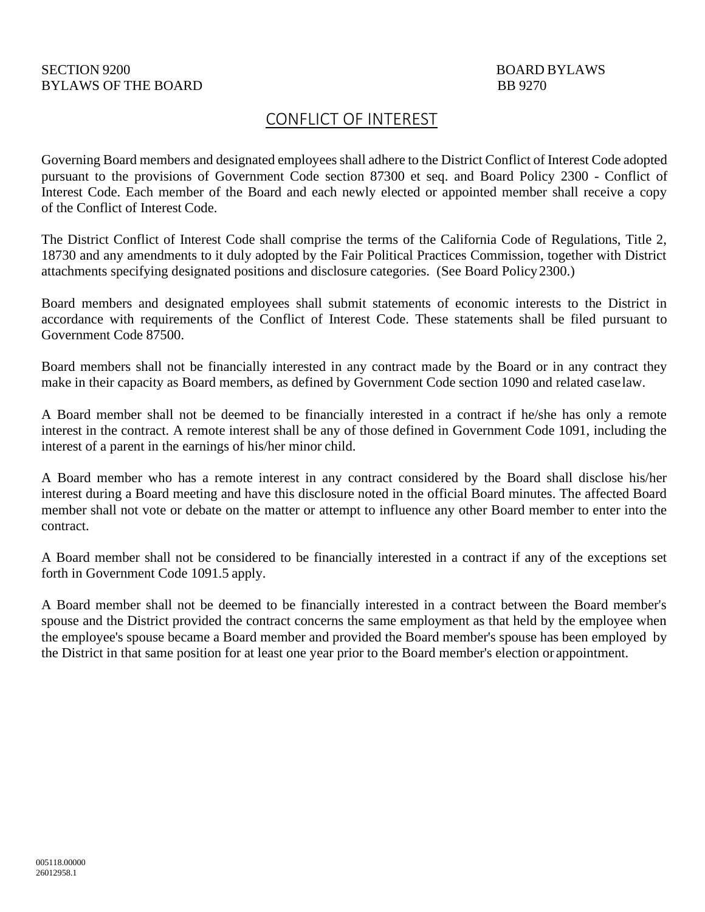## CONFLICT OF INTEREST

Governing Board members and designated employees shall adhere to the District Conflict of Interest Code adopted pursuant to the provisions of Government Code section 87300 et seq. and Board Policy 2300 - Conflict of Interest Code. Each member of the Board and each newly elected or appointed member shall receive a copy of the Conflict of Interest Code.

The District Conflict of Interest Code shall comprise the terms of the California Code of Regulations, Title 2, 18730 and any amendments to it duly adopted by the Fair Political Practices Commission, together with District attachments specifying designated positions and disclosure categories. (See Board Policy 2300.)

Board members and designated employees shall submit statements of economic interests to the District in accordance with requirements of the Conflict of Interest Code. These statements shall be filed pursuant to Government Code 87500.

Board members shall not be financially interested in any contract made by the Board or in any contract they make in their capacity as Board members, as defined by Government Code section 1090 and related caselaw.

A Board member shall not be deemed to be financially interested in a contract if he/she has only a remote interest in the contract. A remote interest shall be any of those defined in Government Code 1091, including the interest of a parent in the earnings of his/her minor child.

A Board member who has a remote interest in any contract considered by the Board shall disclose his/her interest during a Board meeting and have this disclosure noted in the official Board minutes. The affected Board member shall not vote or debate on the matter or attempt to influence any other Board member to enter into the contract.

A Board member shall not be considered to be financially interested in a contract if any of the exceptions set forth in Government Code 1091.5 apply.

A Board member shall not be deemed to be financially interested in a contract between the Board member's spouse and the District provided the contract concerns the same employment as that held by the employee when the employee's spouse became a Board member and provided the Board member's spouse has been employed by the District in that same position for at least one year prior to the Board member's election or appointment.